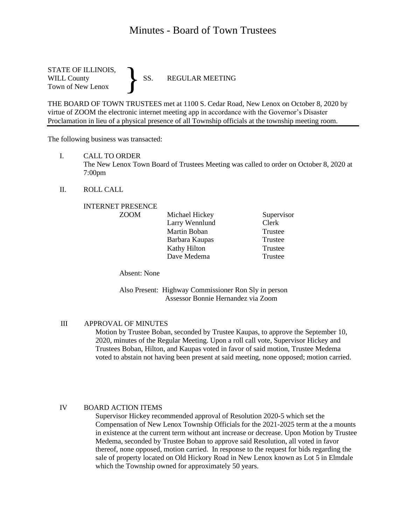# Minutes - Board of Town Trustees

STATE OF ILLINOIS,<br>WILL County SS. WILL County SS. REGULAR MEETING Town of New Lenox }

THE BOARD OF TOWN TRUSTEES met at 1100 S. Cedar Road, New Lenox on October 8, 2020 by virtue of ZOOM the electronic internet meeting app in accordance with the Governor's Disaster Proclamation in lieu of a physical presence of all Township officials at the township meeting room.

The following business was transacted:

I. CALL TO ORDER

The New Lenox Town Board of Trustees Meeting was called to order on October 8, 2020 at 7:00pm

II. ROLL CALL

# INTERNET PRESENCE

| <b>ZOOM</b> | Michael Hickey | Supervisor |
|-------------|----------------|------------|
|             | Larry Wennlund | Clerk      |
|             | Martin Boban   | Trustee    |
|             | Barbara Kaupas | Trustee    |
|             | Kathy Hilton   | Trustee    |
|             | Dave Medema    | Trustee    |

Absent: None

Also Present: Highway Commissioner Ron Sly in person Assessor Bonnie Hernandez via Zoom

### III APPROVAL OF MINUTES

Motion by Trustee Boban, seconded by Trustee Kaupas, to approve the September 10, 2020, minutes of the Regular Meeting. Upon a roll call vote, Supervisor Hickey and Trustees Boban, Hilton, and Kaupas voted in favor of said motion, Trustee Medema voted to abstain not having been present at said meeting, none opposed; motion carried.

### IV BOARD ACTION ITEMS

Supervisor Hickey recommended approval of Resolution 2020-5 which set the Compensation of New Lenox Township Officials for the 2021-2025 term at the a mounts in existence at the current term without ant increase or decrease. Upon Motion by Trustee Medema, seconded by Trustee Boban to approve said Resolution, all voted in favor thereof, none opposed, motion carried. In response to the request for bids regarding the sale of property located on Old Hickory Road in New Lenox known as Lot 5 in Elmdale which the Township owned for approximately 50 years.